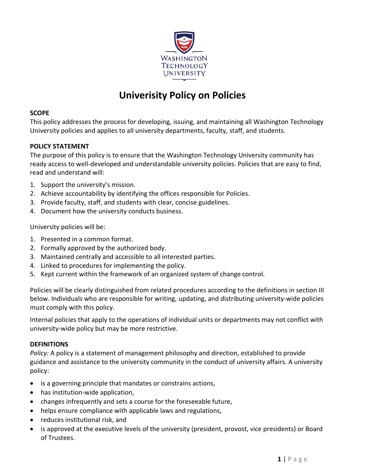

# **Univerisity Policy on Policies**

#### **SCOPE**

This policy addresses the process for developing, issuing, and maintaining all Washington Technology University policies and applies to all university departments, faculty, staff, and students.

# **POLICY STATEMENT**

The purpose of this policy is to ensure that the Washington Technology University community has ready access to well-developed and understandable university policies. Policies that are easy to find, read and understand will:

- 1. Support the university's mission.
- 2. Achieve accountability by identifying the offices responsible for Policies.
- 3. Provide faculty, staff, and students with clear, concise guidelines.
- 4. Document how the university conducts business.

University policies will be:

- 1. Presented in a common format.
- 2. Formally approved by the authorized body.
- 3. Maintained centrally and accessible to all interested parties.
- 4. Linked to procedures for implementing the policy.
- 5. Kept current within the framework of an organized system of change control.

Policies will be clearly distinguished from related procedures according to the definitions in section III below. Individuals who are responsible for writing, updating, and distributing university-wide policies must comply with this policy.

Internal policies that apply to the operations of individual units or departments may not conflict with university-wide policy but may be more restrictive.

#### **DEFINITIONS**

*Policy:* A policy is a statement of management philosophy and direction, established to provide guidance and assistance to the university community in the conduct of university affairs. A university policy:

- is a governing principle that mandates or constrains actions,
- has institution-wide application,
- changes infrequently and sets a course for the foreseeable future,
- helps ensure compliance with applicable laws and regulations,
- reduces institutional risk, and
- is approved at the executive levels of the university (president, provost, vice presidents) or Board of Trustees.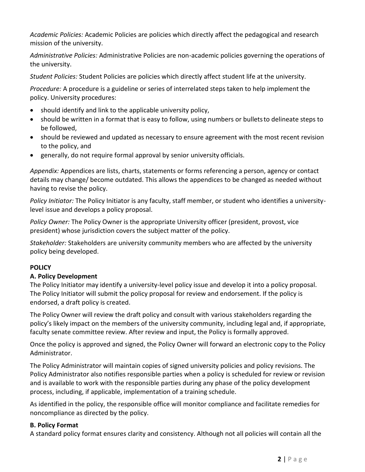*Academic Policies:* Academic Policies are policies which directly affect the pedagogical and research mission of the university.

*Administrative Policies:* Administrative Policies are non-academic policies governing the operations of the university.

*Student Policies:* Student Policies are policies which directly affect student life at the university.

*Procedure:* A procedure is a guideline or series of interrelated steps taken to help implement the policy. University procedures:

- should identify and link to the applicable university policy,
- should be written in a format that is easy to follow, using numbers or bulletsto delineate steps to be followed,
- should be reviewed and updated as necessary to ensure agreement with the most recent revision to the policy, and
- generally, do not require formal approval by senior university officials.

*Appendix:* Appendices are lists, charts, statements or forms referencing a person, agency or contact details may change/ become outdated. This allows the appendices to be changed as needed without having to revise the policy.

*Policy Initiator:* The Policy Initiator is any faculty, staff member, or student who identifies a universitylevel issue and develops a policy proposal.

*Policy Owner:* The Policy Owner is the appropriate University officer (president, provost, vice president) whose jurisdiction covers the subject matter of the policy.

*Stakeholder:* Stakeholders are university community members who are affected by the university policy being developed.

# **POLICY**

# **A. Policy Development**

The Policy Initiator may identify a university-level policy issue and develop it into a policy proposal. The Policy Initiator will submit the policy proposal for review and endorsement. If the policy is endorsed, a draft policy is created.

The Policy Owner will review the draft policy and consult with various stakeholders regarding the policy's likely impact on the members of the university community, including legal and, if appropriate, faculty senate committee review. After review and input, the Policy is formally approved.

Once the policy is approved and signed, the Policy Owner will forward an electronic copy to the Policy Administrator.

The Policy Administrator will maintain copies of signed university policies and policy revisions. The Policy Administrator also notifies responsible parties when a policy is scheduled for review or revision and is available to work with the responsible parties during any phase of the policy development process, including, if applicable, implementation of a training schedule.

As identified in the policy, the responsible office will monitor compliance and facilitate remedies for noncompliance as directed by the policy.

# **B. Policy Format**

A standard policy format ensures clarity and consistency. Although not all policies will contain all the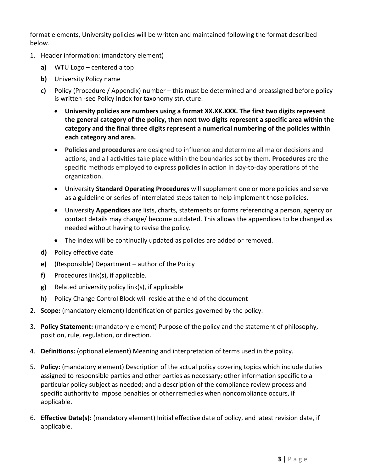format elements, University policies will be written and maintained following the format described below.

- 1. Header information: (mandatory element)
	- **a)** WTU Logo centered a top
	- **b)** University Policy name
	- **c)** Policy (Procedure / Appendix) number this must be determined and preassigned before policy is written -see Policy Index for taxonomy structure:
		- **University policies are numbers using a format XX.XX.XXX. The first two digits represent the general category of the policy, then next two digits represent a specific area within the category and the final three digits represent a numerical numbering of the policies within each category and area.**
		- **Policies and procedures** are designed to influence and determine all major decisions and actions, and all activities take place within the boundaries set by them. **Procedures** are the specific methods employed to express **policies** in action in day-to-day operations of the organization.
		- University **Standard Operating Procedures** will supplement one or more policies and serve as a guideline or series of interrelated steps taken to help implement those policies.
		- University **Appendices** are lists, charts, statements or forms referencing a person, agency or contact details may change/ become outdated. This allows the appendices to be changed as needed without having to revise the policy.
		- The index will be continually updated as policies are added or removed.
	- **d)** Policy effective date
	- **e)** (Responsible) Department author of the Policy
	- **f)** Procedures link(s), if applicable.
	- **g)** Related university policy link(s), if applicable
	- **h)** Policy Change Control Block will reside at the end of the document
- 2. **Scope:** (mandatory element) Identification of parties governed by the policy.
- 3. **Policy Statement:** (mandatory element) Purpose of the policy and the statement of philosophy, position, rule, regulation, or direction.
- 4. **Definitions:** (optional element) Meaning and interpretation of terms used in the policy.
- 5. **Policy:** (mandatory element) Description of the actual policy covering topics which include duties assigned to responsible parties and other parties as necessary; other information specific to a particular policy subject as needed; and a description of the compliance review process and specific authority to impose penalties or otherremedies when noncompliance occurs, if applicable.
- 6. **Effective Date(s):** (mandatory element) Initial effective date of policy, and latest revision date, if applicable.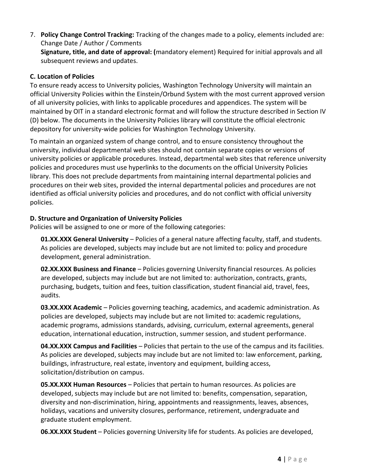7. **Policy Change Control Tracking:** Tracking of the changes made to a policy, elements included are: Change Date / Author / Comments

**Signature, title, and date of approval: (**mandatory element) Required for initial approvals and all subsequent reviews and updates.

# **C. Location of Policies**

To ensure ready access to University policies, Washington Technology University will maintain an official University Policies within the Einstein/Orbund System with the most current approved version of all university policies, with links to applicable procedures and appendices. The system will be maintained by OIT in a standard electronic format and will follow the structure described in Section IV (D) below. The documents in the University Policies library will constitute the official electronic depository for university-wide policies for Washington Technology University.

To maintain an organized system of change control, and to ensure consistency throughout the university, individual departmental web sites should not contain separate copies or versions of university policies or applicable procedures. Instead, departmental web sites that reference university policies and procedures must use hyperlinks to the documents on the official University Policies library. This does not preclude departments from maintaining internal departmental policies and procedures on their web sites, provided the internal departmental policies and procedures are not identified as official university policies and procedures, and do not conflict with official university policies.

# **D. Structure and Organization of University Policies**

Policies will be assigned to one or more of the following categories:

**01.XX.XXX General University** – Policies of a general nature affecting faculty, staff, and students. As policies are developed, subjects may include but are not limited to: policy and procedure development, general administration.

**02.XX.XXX Business and Finance** – Policies governing University financial resources. As policies are developed, subjects may include but are not limited to: authorization, contracts, grants, purchasing, budgets, tuition and fees, tuition classification, student financial aid, travel, fees, audits.

**03.XX.XXX Academic** – Policies governing teaching, academics, and academic administration. As policies are developed, subjects may include but are not limited to: academic regulations, academic programs, admissions standards, advising, curriculum, external agreements, general education, international education, instruction, summer session, and student performance.

**04.XX.XXX Campus and Facilities** – Policies that pertain to the use of the campus and its facilities. As policies are developed, subjects may include but are not limited to: law enforcement, parking, buildings, infrastructure, real estate, inventory and equipment, building access, solicitation/distribution on campus.

**05.XX.XXX Human Resources** – Policies that pertain to human resources. As policies are developed, subjects may include but are not limited to: benefits, compensation, separation, diversity and non-discrimination, hiring, appointments and reassignments, leaves, absences, holidays, vacations and university closures, performance, retirement, undergraduate and graduate student employment.

**06.XX.XXX Student** – Policies governing University life for students. As policies are developed,